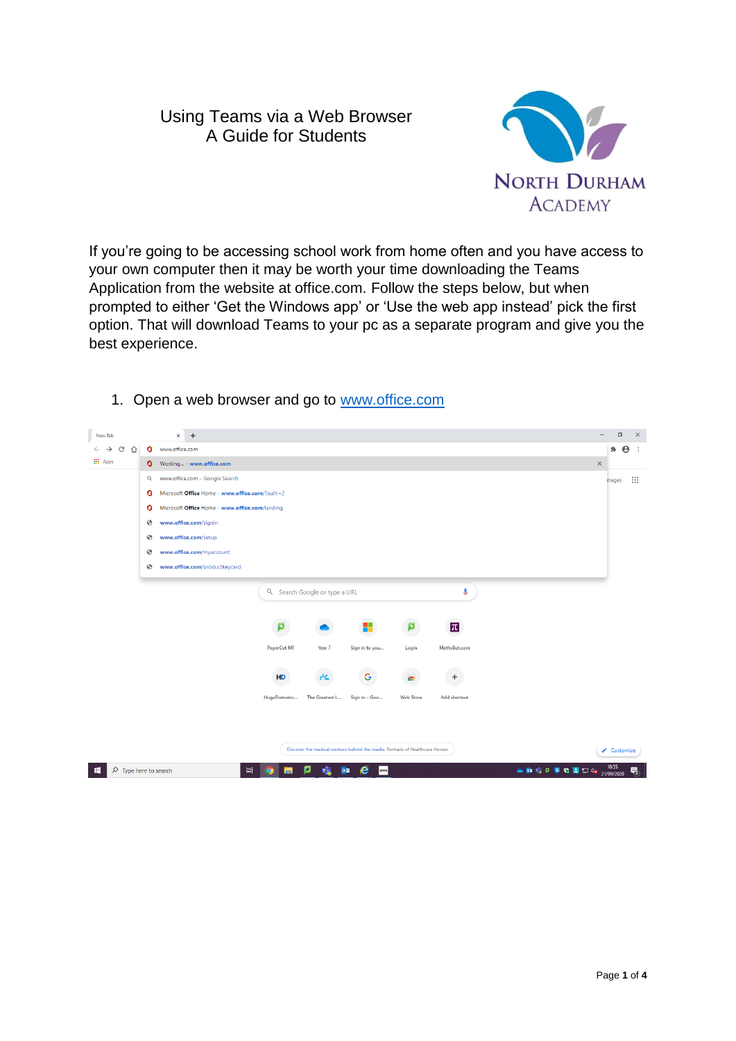## Using Teams via a Web Browser A Guide for Students



If you're going to be accessing school work from home often and you have access to your own computer then it may be worth your time downloading the Teams Application from the website at office.com. Follow the steps below, but when prompted to either 'Get the Windows app' or 'Use the web app instead' pick the first option. That will download Teams to your pc as a separate program and give you the best experience.



1. Open a web browser and go to [www.office.com](http://www.office.com/)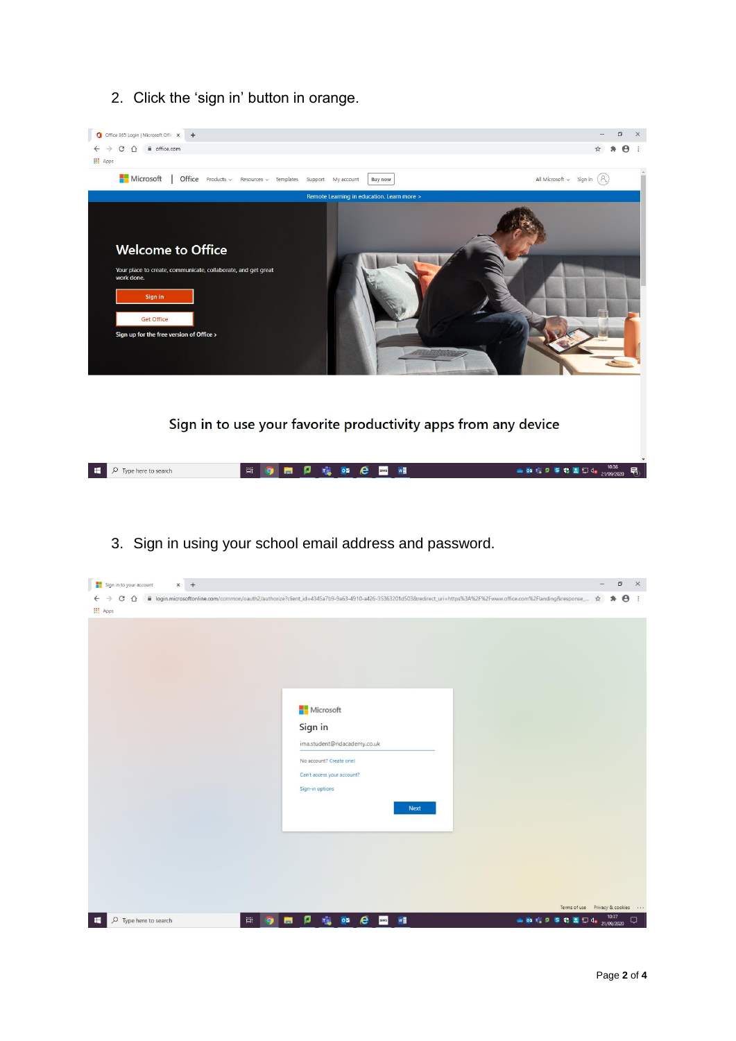2. Click the 'sign in' button in orange.



3. Sign in using your school email address and password.

| Sign in to your account<br>$\times$ +                                                                                                                                                 | - | $\Box$ |            | $\mathsf{X}$ |
|---------------------------------------------------------------------------------------------------------------------------------------------------------------------------------------|---|--------|------------|--------------|
| ← → C 企 · Ill login.microsoftonline.com/common/oauth2/authorize?client_id=4345a7b9-9a63-4910-a426-35363201d503&redirect_uri=https%3A%2F%2Fwww.office.com%2Flanding&response_ ☆ 鼻      |   |        | $\Theta$ : |              |
| <b>III</b> Apps                                                                                                                                                                       |   |        |            |              |
| Microsoft<br>Sign in<br>ima.student@ndacademy.co.uk<br>No account? Create one!<br>Can't access your account?<br>Sign-in options<br><b>Next</b><br>Terms of use Privacy & cookies      |   |        |            |              |
| <b>a b</b> $\mathbf{r}_s^2$ <b>b 5 c d</b> $\mathbf{r}_s^2$ <b>d 5 d d 10</b> <sup>-1037</sup><br>喘<br>02e<br>W<br>Ħ<br>ø<br>$O$ Type here to search<br>⊞<br>siMS<br><b>Part</b><br>о |   |        |            | Q            |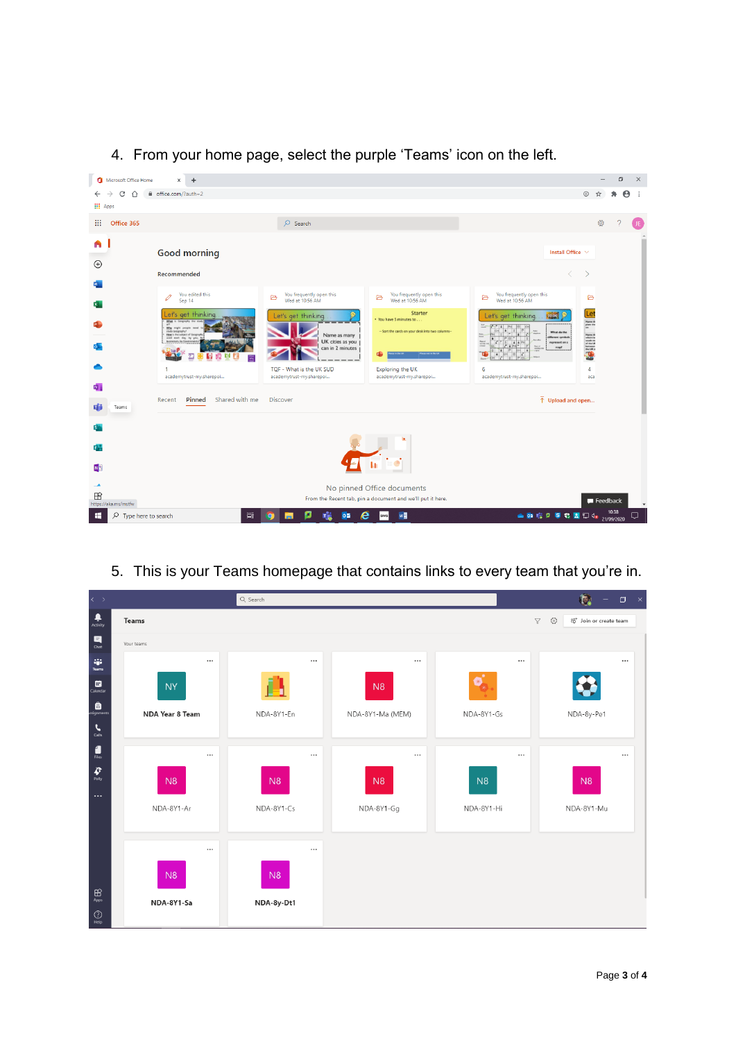4. From your home page, select the purple 'Teams' icon on the left.





5. This is your Teams homepage that contains links to every team that you're in.